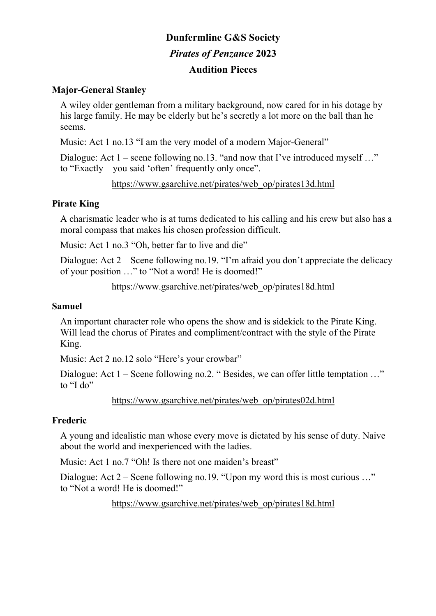# **Dunfermline G&S Society**  *Pirates of Penzance* **2023 Audition Pieces**

#### **Major-General Stanley**

A wiley older gentleman from a military background, now cared for in his dotage by his large family. He may be elderly but he's secretly a lot more on the ball than he seems.

Music: Act 1 no.13 "I am the very model of a modern Major-General"

Dialogue: Act 1 – scene following no.13. "and now that I've introduced myself ..." to "Exactly – you said 'often' frequently only once".

https://www.gsarchive.net/pirates/web\_op/pirates13d.html

#### **Pirate King**

A charismatic leader who is at turns dedicated to his calling and his crew but also has a moral compass that makes his chosen profession difficult.

Music: Act 1 no.3 "Oh, better far to live and die"

Dialogue: Act 2 – Scene following no.19. "I'm afraid you don't appreciate the delicacy of your position …" to "Not a word! He is doomed!"

https://www.gsarchive.net/pirates/web\_op/pirates18d.html

#### **Samuel**

An important character role who opens the show and is sidekick to the Pirate King. Will lead the chorus of Pirates and compliment/contract with the style of the Pirate King.

Music: Act 2 no.12 solo "Here's your crowbar"

Dialogue: Act 1 – Scene following no.2. "Besides, we can offer little temptation ..." to "I do"

https://www.gsarchive.net/pirates/web\_op/pirates02d.html

# **Frederic**

A young and idealistic man whose every move is dictated by his sense of duty. Naive about the world and inexperienced with the ladies.

Music: Act 1 no.7 "Oh! Is there not one maiden's breast"

Dialogue: Act 2 – Scene following no.19. "Upon my word this is most curious ..." to "Not a word! He is doomed!"

https://www.gsarchive.net/pirates/web\_op/pirates18d.html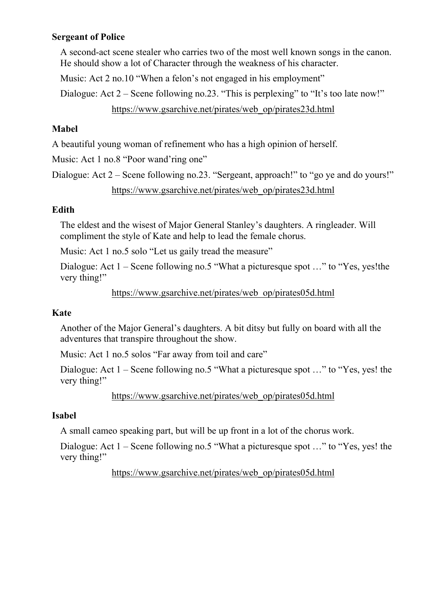#### **Sergeant of Police**

A second-act scene stealer who carries two of the most well known songs in the canon. He should show a lot of Character through the weakness of his character.

Music: Act 2 no.10 "When a felon's not engaged in his employment"

Dialogue: Act 2 – Scene following no.23. "This is perplexing" to "It's too late now!"

https://www.gsarchive.net/pirates/web\_op/pirates23d.html

# **Mabel**

A beautiful young woman of refinement who has a high opinion of herself.

Music: Act 1 no.8 "Poor wand'ring one"

Dialogue: Act 2 – Scene following no.23. "Sergeant, approach!" to "go ye and do yours!" https://www.gsarchive.net/pirates/web\_op/pirates23d.html

# **Edith**

The eldest and the wisest of Major General Stanley's daughters. A ringleader. Will compliment the style of Kate and help to lead the female chorus.

Music: Act 1 no.5 solo "Let us gaily tread the measure"

Dialogue: Act 1 – Scene following no.5 "What a picturesque spot …" to "Yes, yes!the very thing!"

https://www.gsarchive.net/pirates/web\_op/pirates05d.html

# **Kate**

Another of the Major General's daughters. A bit ditsy but fully on board with all the adventures that transpire throughout the show.

Music: Act 1 no.5 solos "Far away from toil and care"

Dialogue: Act 1 – Scene following no.5 "What a picturesque spot ..." to "Yes, yes! the very thing!"

https://www.gsarchive.net/pirates/web\_op/pirates05d.html

# **Isabel**

A small cameo speaking part, but will be up front in a lot of the chorus work.

Dialogue: Act 1 – Scene following no.5 "What a picturesque spot …" to "Yes, yes! the very thing!"

https://www.gsarchive.net/pirates/web\_op/pirates05d.html